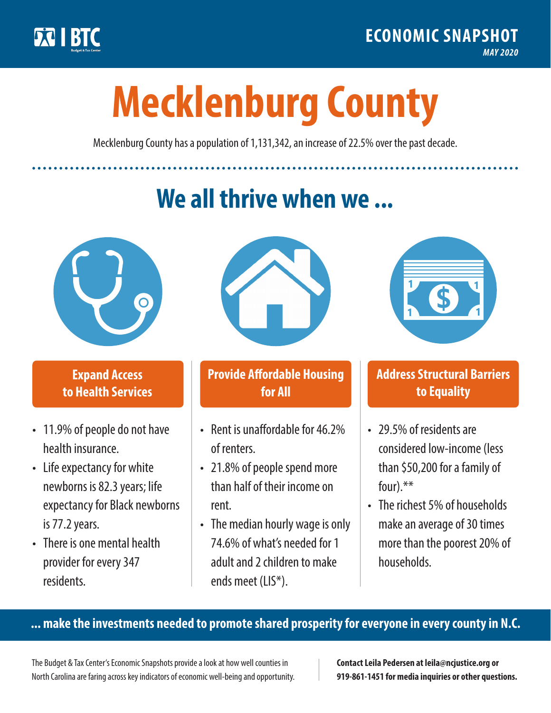

**1**

# **Mecklenburg County**

Mecklenburg County has a population of 1,131,342, an increase of 22.5% over the past decade.

# **We all thrive when we ...**



**\$ <sup>1</sup>**

**\$ <sup>1</sup>**

## **Expand Access to Health Services**

- 11.9% of people do not have health insurance.
- Life expectancy for white newborns is 82.3years; life expectancy for Black newborns is 77.2years.
- There is one mental health provider for every 347 residents.



## **Provide Affordable Housing for All**

- Rent is unaffordable for 46 2% of renters.
- 21.8% of people spend more than half of their income on rent.
- The median hourly wage is only 74.6% of what's needed for 1 adult and 2 children to make ends meet (LIS\*).



## **Address Structural Barriers to Equality**

- 29.5% of residents are considered low-income (less than \$50,200 for a family of four).\*\*
- The richest 5% of households make an average of 30 times more than the poorest 20% of households.

#### **... make the investments needed to promote shared prosperity for everyone in every county in N.C.**

The Budget & Tax Center's Economic Snapshots provide a look at how well counties in North Carolina are faring across key indicators of economic well-being and opportunity.